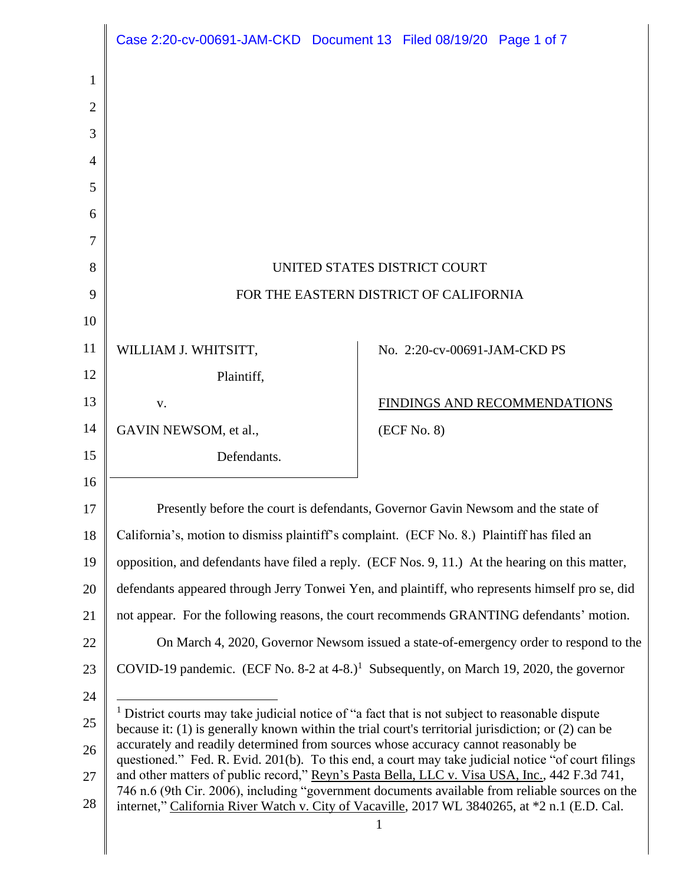|                | Case 2:20-cv-00691-JAM-CKD Document 13 Filed 08/19/20 Page 1 of 7                                                                                                                                                 |                                                                                                     |  |
|----------------|-------------------------------------------------------------------------------------------------------------------------------------------------------------------------------------------------------------------|-----------------------------------------------------------------------------------------------------|--|
| 1              |                                                                                                                                                                                                                   |                                                                                                     |  |
| $\overline{2}$ |                                                                                                                                                                                                                   |                                                                                                     |  |
| 3              |                                                                                                                                                                                                                   |                                                                                                     |  |
| 4              |                                                                                                                                                                                                                   |                                                                                                     |  |
| 5              |                                                                                                                                                                                                                   |                                                                                                     |  |
| 6              |                                                                                                                                                                                                                   |                                                                                                     |  |
| 7              |                                                                                                                                                                                                                   |                                                                                                     |  |
| 8              | UNITED STATES DISTRICT COURT                                                                                                                                                                                      |                                                                                                     |  |
| 9              | FOR THE EASTERN DISTRICT OF CALIFORNIA                                                                                                                                                                            |                                                                                                     |  |
| 10             |                                                                                                                                                                                                                   |                                                                                                     |  |
| 11             | WILLIAM J. WHITSITT,                                                                                                                                                                                              | No. 2:20-cv-00691-JAM-CKD PS                                                                        |  |
| 12             | Plaintiff,                                                                                                                                                                                                        |                                                                                                     |  |
| 13             | V.                                                                                                                                                                                                                | FINDINGS AND RECOMMENDATIONS                                                                        |  |
| 14             | GAVIN NEWSOM, et al.,                                                                                                                                                                                             | (ECF No. 8)                                                                                         |  |
| 15             | Defendants.                                                                                                                                                                                                       |                                                                                                     |  |
| 16             |                                                                                                                                                                                                                   |                                                                                                     |  |
| 17             | Presently before the court is defendants, Governor Gavin Newsom and the state of                                                                                                                                  |                                                                                                     |  |
| 18             | California's, motion to dismiss plaintiff's complaint. (ECF No. 8.) Plaintiff has filed an                                                                                                                        |                                                                                                     |  |
| 19             | opposition, and defendants have filed a reply. (ECF Nos. 9, 11.) At the hearing on this matter,                                                                                                                   |                                                                                                     |  |
| 20             | defendants appeared through Jerry Tonwei Yen, and plaintiff, who represents himself pro se, did                                                                                                                   |                                                                                                     |  |
| 21             | not appear. For the following reasons, the court recommends GRANTING defendants' motion.                                                                                                                          |                                                                                                     |  |
| 22             | On March 4, 2020, Governor Newsom issued a state-of-emergency order to respond to the                                                                                                                             |                                                                                                     |  |
| 23             |                                                                                                                                                                                                                   | COVID-19 pandemic. (ECF No. 8-2 at 4-8.) <sup>1</sup> Subsequently, on March 19, 2020, the governor |  |
| 24             |                                                                                                                                                                                                                   |                                                                                                     |  |
| 25             | <sup>1</sup> District courts may take judicial notice of "a fact that is not subject to reasonable dispute<br>because it: (1) is generally known within the trial court's territorial jurisdiction; or (2) can be |                                                                                                     |  |
| 26             | accurately and readily determined from sources whose accuracy cannot reasonably be<br>questioned." Fed. R. Evid. 201(b). To this end, a court may take judicial notice "of court filings                          |                                                                                                     |  |
| 27             | and other matters of public record," Reyn's Pasta Bella, LLC v. Visa USA, Inc., 442 F.3d 741,<br>746 n.6 (9th Cir. 2006), including "government documents available from reliable sources on the                  |                                                                                                     |  |
| 28             | internet," California River Watch v. City of Vacaville, 2017 WL 3840265, at *2 n.1 (E.D. Cal.<br>1                                                                                                                |                                                                                                     |  |
|                |                                                                                                                                                                                                                   |                                                                                                     |  |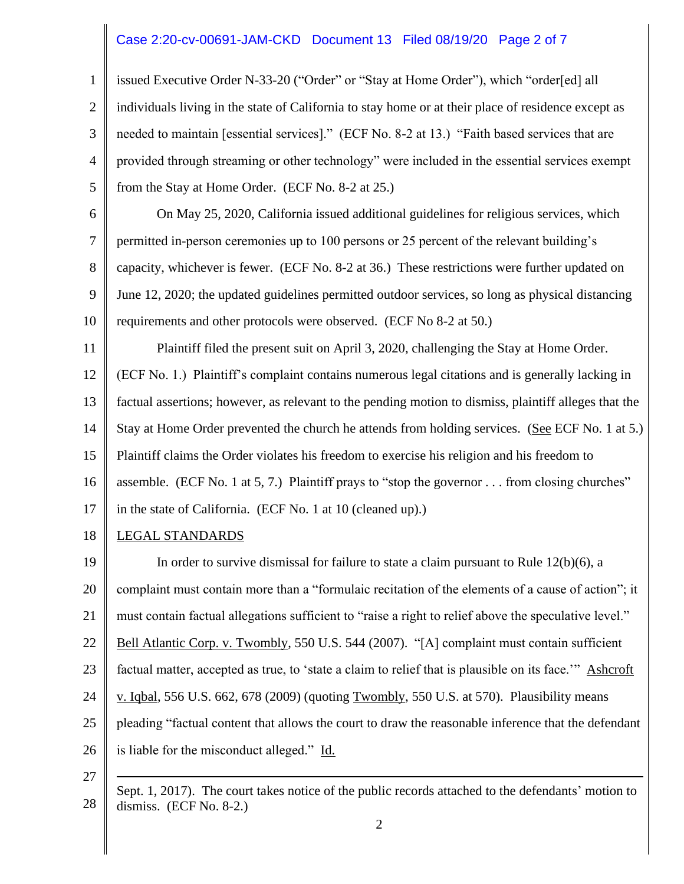## Case 2:20-cv-00691-JAM-CKD Document 13 Filed 08/19/20 Page 2 of 7

1 2 3 4 5 issued Executive Order N-33-20 ("Order" or "Stay at Home Order"), which "order[ed] all individuals living in the state of California to stay home or at their place of residence except as needed to maintain [essential services]." (ECF No. 8-2 at 13.) "Faith based services that are provided through streaming or other technology" were included in the essential services exempt from the Stay at Home Order. (ECF No. 8-2 at 25.)

6 7 8 9 10 On May 25, 2020, California issued additional guidelines for religious services, which permitted in-person ceremonies up to 100 persons or 25 percent of the relevant building's capacity, whichever is fewer. (ECF No. 8-2 at 36.) These restrictions were further updated on June 12, 2020; the updated guidelines permitted outdoor services, so long as physical distancing requirements and other protocols were observed. (ECF No 8-2 at 50.)

11 12 13 14 15 16 Plaintiff filed the present suit on April 3, 2020, challenging the Stay at Home Order. (ECF No. 1.) Plaintiff's complaint contains numerous legal citations and is generally lacking in factual assertions; however, as relevant to the pending motion to dismiss, plaintiff alleges that the Stay at Home Order prevented the church he attends from holding services. (See ECF No. 1 at 5.) Plaintiff claims the Order violates his freedom to exercise his religion and his freedom to assemble. (ECF No. 1 at 5, 7.) Plaintiff prays to "stop the governor . . . from closing churches"

17 in the state of California. (ECF No. 1 at 10 (cleaned up).)

18 LEGAL STANDARDS

19 20 21 22 23 24 25 26 In order to survive dismissal for failure to state a claim pursuant to Rule  $12(b)(6)$ , a complaint must contain more than a "formulaic recitation of the elements of a cause of action"; it must contain factual allegations sufficient to "raise a right to relief above the speculative level." Bell Atlantic Corp. v. Twombly, 550 U.S. 544 (2007). "[A] complaint must contain sufficient factual matter, accepted as true, to 'state a claim to relief that is plausible on its face.'" Ashcroft v. Iqbal, 556 U.S. 662, 678 (2009) (quoting Twombly, 550 U.S. at 570). Plausibility means pleading "factual content that allows the court to draw the reasonable inference that the defendant is liable for the misconduct alleged." Id.

27

<sup>28</sup> Sept. 1, 2017). The court takes notice of the public records attached to the defendants' motion to dismiss. (ECF No. 8-2.)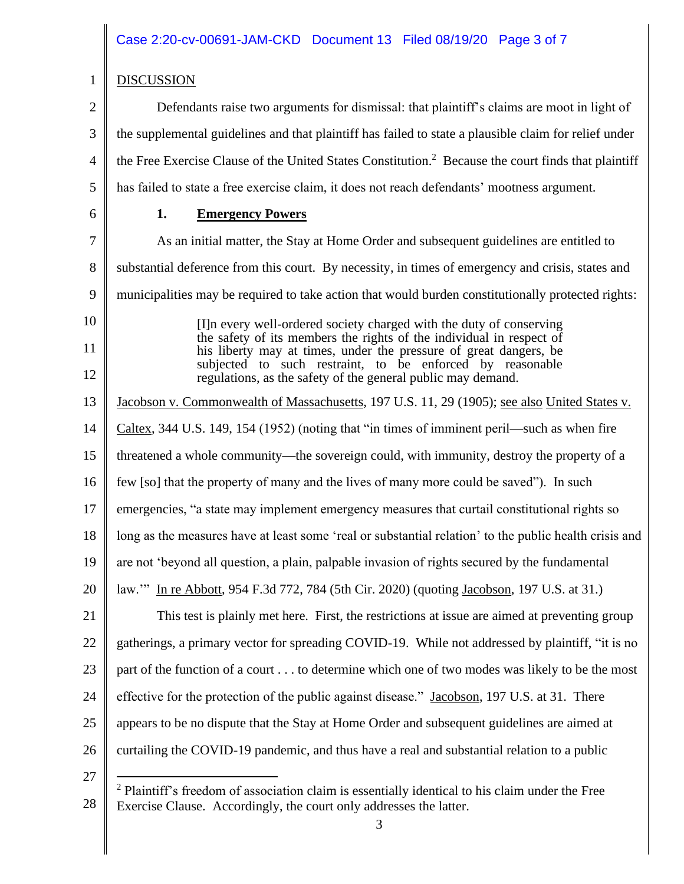## Case 2:20-cv-00691-JAM-CKD Document 13 Filed 08/19/20 Page 3 of 7

# DISCUSSION

1

2 3 4 5 6 Defendants raise two arguments for dismissal: that plaintiff's claims are moot in light of the supplemental guidelines and that plaintiff has failed to state a plausible claim for relief under the Free Exercise Clause of the United States Constitution. <sup>2</sup> Because the court finds that plaintiff has failed to state a free exercise claim, it does not reach defendants' mootness argument. **1. Emergency Powers**

7 8 9 10 11 12 13 14 15 16 17 18 19 20 21 22 23 24 25 26 27 As an initial matter, the Stay at Home Order and subsequent guidelines are entitled to substantial deference from this court. By necessity, in times of emergency and crisis, states and municipalities may be required to take action that would burden constitutionally protected rights: [I]n every well-ordered society charged with the duty of conserving the safety of its members the rights of the individual in respect of his liberty may at times, under the pressure of great dangers, be subjected to such restraint, to be enforced by reasonable regulations, as the safety of the general public may demand. Jacobson v. Commonwealth of Massachusetts, 197 U.S. 11, 29 (1905); see also United States v. Caltex, 344 U.S. 149, 154 (1952) (noting that "in times of imminent peril—such as when fire threatened a whole community—the sovereign could, with immunity, destroy the property of a few [so] that the property of many and the lives of many more could be saved"). In such emergencies, "a state may implement emergency measures that curtail constitutional rights so long as the measures have at least some 'real or substantial relation' to the public health crisis and are not 'beyond all question, a plain, palpable invasion of rights secured by the fundamental law.'" In re Abbott, 954 F.3d 772, 784 (5th Cir. 2020) (quoting Jacobson, 197 U.S. at 31.) This test is plainly met here. First, the restrictions at issue are aimed at preventing group gatherings, a primary vector for spreading COVID-19. While not addressed by plaintiff, "it is no part of the function of a court . . . to determine which one of two modes was likely to be the most effective for the protection of the public against disease." Jacobson, 197 U.S. at 31. There appears to be no dispute that the Stay at Home Order and subsequent guidelines are aimed at curtailing the COVID-19 pandemic, and thus have a real and substantial relation to a public

<sup>28</sup> <sup>2</sup> Plaintiff's freedom of association claim is essentially identical to his claim under the Free Exercise Clause. Accordingly, the court only addresses the latter.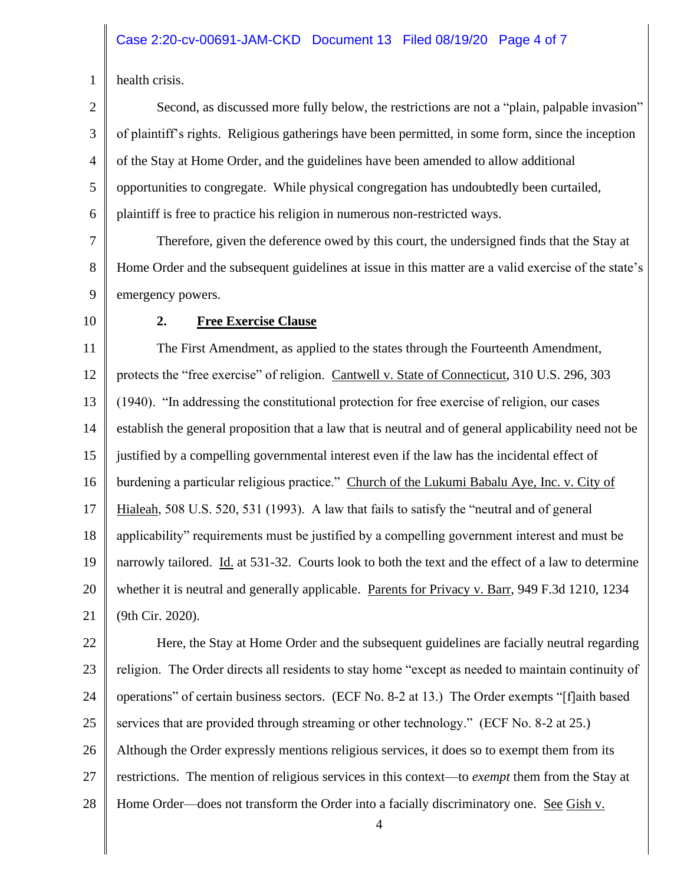#### Case 2:20-cv-00691-JAM-CKD Document 13 Filed 08/19/20 Page 4 of 7

1

health crisis.

2 3 4 5 6 Second, as discussed more fully below, the restrictions are not a "plain, palpable invasion" of plaintiff's rights. Religious gatherings have been permitted, in some form, since the inception of the Stay at Home Order, and the guidelines have been amended to allow additional opportunities to congregate. While physical congregation has undoubtedly been curtailed, plaintiff is free to practice his religion in numerous non-restricted ways.

7 8 9 Therefore, given the deference owed by this court, the undersigned finds that the Stay at Home Order and the subsequent guidelines at issue in this matter are a valid exercise of the state's emergency powers.

10

#### **2. Free Exercise Clause**

11 12 13 14 15 16 17 18 19 20 21 The First Amendment, as applied to the states through the Fourteenth Amendment, protects the "free exercise" of religion. Cantwell v. State of Connecticut, 310 U.S. 296, 303 (1940). "In addressing the constitutional protection for free exercise of religion, our cases establish the general proposition that a law that is neutral and of general applicability need not be justified by a compelling governmental interest even if the law has the incidental effect of burdening a particular religious practice." Church of the Lukumi Babalu Aye, Inc. v. City of Hialeah, 508 U.S. 520, 531 (1993). A law that fails to satisfy the "neutral and of general applicability" requirements must be justified by a compelling government interest and must be narrowly tailored. Id. at 531-32. Courts look to both the text and the effect of a law to determine whether it is neutral and generally applicable. Parents for Privacy v. Barr, 949 F.3d 1210, 1234 (9th Cir. 2020).

22 23 24 25 26 27 28 Here, the Stay at Home Order and the subsequent guidelines are facially neutral regarding religion. The Order directs all residents to stay home "except as needed to maintain continuity of operations" of certain business sectors. (ECF No. 8-2 at 13.) The Order exempts "[f]aith based services that are provided through streaming or other technology." (ECF No. 8-2 at 25.) Although the Order expressly mentions religious services, it does so to exempt them from its restrictions. The mention of religious services in this context—to *exempt* them from the Stay at Home Order—does not transform the Order into a facially discriminatory one. See Gish v.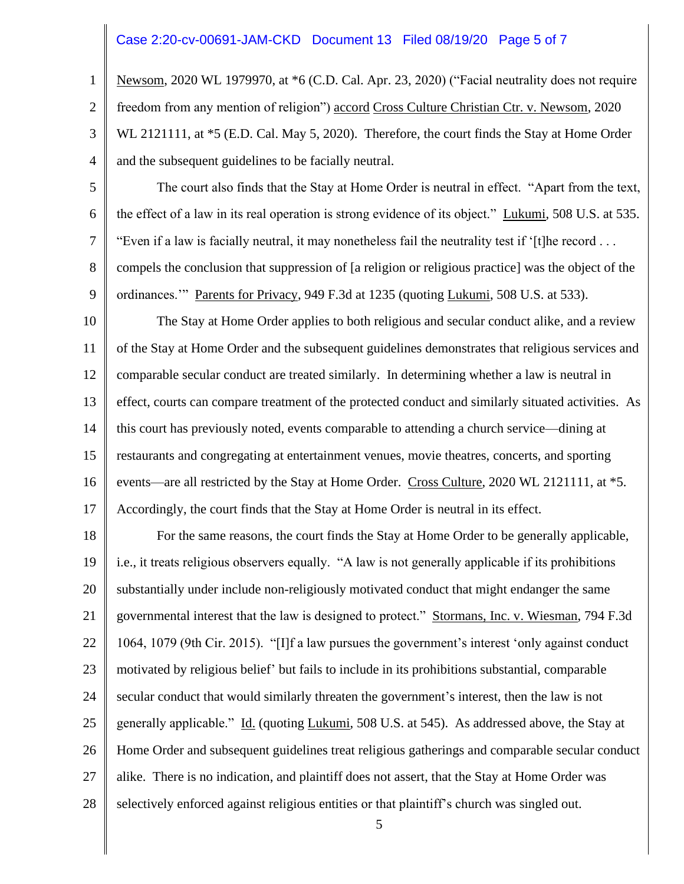### Case 2:20-cv-00691-JAM-CKD Document 13 Filed 08/19/20 Page 5 of 7

1

2

3

4

Newsom, 2020 WL 1979970, at \*6 (C.D. Cal. Apr. 23, 2020) ("Facial neutrality does not require freedom from any mention of religion") accord Cross Culture Christian Ctr. v. Newsom, 2020 WL 2121111, at  $*5$  (E.D. Cal. May 5, 2020). Therefore, the court finds the Stay at Home Order and the subsequent guidelines to be facially neutral.

- 5 6 7 8 9 The court also finds that the Stay at Home Order is neutral in effect. "Apart from the text, the effect of a law in its real operation is strong evidence of its object." Lukumi, 508 U.S. at 535. "Even if a law is facially neutral, it may nonetheless fail the neutrality test if '[t]he record  $\dots$ compels the conclusion that suppression of [a religion or religious practice] was the object of the ordinances.'" Parents for Privacy, 949 F.3d at 1235 (quoting Lukumi, 508 U.S. at 533).
- 10 11 12 13 14 15 16 17 The Stay at Home Order applies to both religious and secular conduct alike, and a review of the Stay at Home Order and the subsequent guidelines demonstrates that religious services and comparable secular conduct are treated similarly. In determining whether a law is neutral in effect, courts can compare treatment of the protected conduct and similarly situated activities. As this court has previously noted, events comparable to attending a church service—dining at restaurants and congregating at entertainment venues, movie theatres, concerts, and sporting events—are all restricted by the Stay at Home Order. Cross Culture, 2020 WL 2121111, at \*5. Accordingly, the court finds that the Stay at Home Order is neutral in its effect.

18 19 20 21 22 23 24 25 26 27 28 For the same reasons, the court finds the Stay at Home Order to be generally applicable, i.e., it treats religious observers equally. "A law is not generally applicable if its prohibitions substantially under include non-religiously motivated conduct that might endanger the same governmental interest that the law is designed to protect." Stormans, Inc. v. Wiesman, 794 F.3d 1064, 1079 (9th Cir. 2015). "[I]f a law pursues the government's interest 'only against conduct motivated by religious belief' but fails to include in its prohibitions substantial, comparable secular conduct that would similarly threaten the government's interest, then the law is not generally applicable." Id. (quoting Lukumi, 508 U.S. at 545). As addressed above, the Stay at Home Order and subsequent guidelines treat religious gatherings and comparable secular conduct alike. There is no indication, and plaintiff does not assert, that the Stay at Home Order was selectively enforced against religious entities or that plaintiff's church was singled out.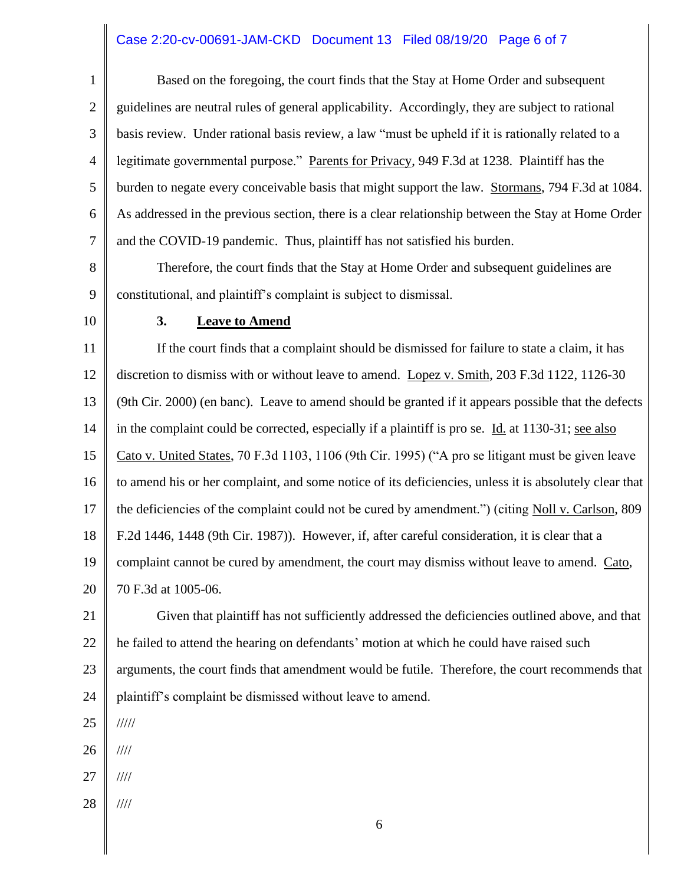## Case 2:20-cv-00691-JAM-CKD Document 13 Filed 08/19/20 Page 6 of 7

1 2 3 4 5 6 7 8 9 10 11 12 13 14 15 16 17 18 19 20 21 22 23 24 25 26 27 28 6 Based on the foregoing, the court finds that the Stay at Home Order and subsequent guidelines are neutral rules of general applicability. Accordingly, they are subject to rational basis review. Under rational basis review, a law "must be upheld if it is rationally related to a legitimate governmental purpose." Parents for Privacy, 949 F.3d at 1238. Plaintiff has the burden to negate every conceivable basis that might support the law. Stormans, 794 F.3d at 1084. As addressed in the previous section, there is a clear relationship between the Stay at Home Order and the COVID-19 pandemic. Thus, plaintiff has not satisfied his burden. Therefore, the court finds that the Stay at Home Order and subsequent guidelines are constitutional, and plaintiff's complaint is subject to dismissal. **3. Leave to Amend** If the court finds that a complaint should be dismissed for failure to state a claim, it has discretion to dismiss with or without leave to amend. Lopez v. Smith, 203 F.3d 1122, 1126-30 (9th Cir. 2000) (en banc). Leave to amend should be granted if it appears possible that the defects in the complaint could be corrected, especially if a plaintiff is pro se. Id. at 1130-31; see also Cato v. United States, 70 F.3d 1103, 1106 (9th Cir. 1995) ("A pro se litigant must be given leave to amend his or her complaint, and some notice of its deficiencies, unless it is absolutely clear that the deficiencies of the complaint could not be cured by amendment.") (citing Noll v. Carlson, 809 F.2d 1446, 1448 (9th Cir. 1987)). However, if, after careful consideration, it is clear that a complaint cannot be cured by amendment, the court may dismiss without leave to amend. Cato, 70 F.3d at 1005-06. Given that plaintiff has not sufficiently addressed the deficiencies outlined above, and that he failed to attend the hearing on defendants' motion at which he could have raised such arguments, the court finds that amendment would be futile. Therefore, the court recommends that plaintiff's complaint be dismissed without leave to amend. ///// //// //// ////